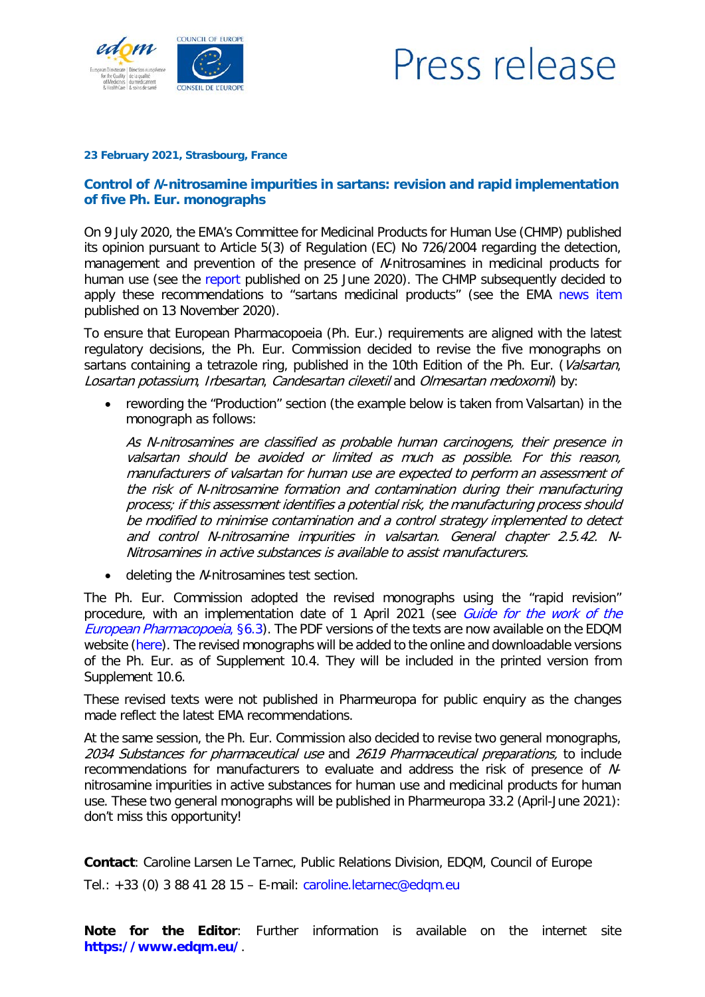

## Press release

## **23 February 2021, Strasbourg, France**

## **Control of** N**-nitrosamine impurities in sartans: revision and rapid implementation of five Ph. Eur. monographs**

On 9 July 2020, the EMA's Committee for Medicinal Products for Human Use (CHMP) published its opinion pursuant to Article 5(3) of Regulation (EC) No 726/2004 regarding the detection, management and prevention of the presence of N-nitrosamines in medicinal products for human use (see the [report](https://www.ema.europa.eu/en/documents/referral/nitrosamines-emea-h-a53-1490-assessment-report_en.pdf) published on 25 June 2020). The CHMP subsequently decided to apply these recommendations to "sartans medicinal products" (see the EMA [news item](https://go.edqm.eu/EMA20201113) published on 13 November 2020).

To ensure that European Pharmacopoeia (Ph. Eur.) requirements are aligned with the latest regulatory decisions, the Ph. Eur. Commission decided to revise the five monographs on sartans containing a tetrazole ring, published in the 10th Edition of the Ph. Eur. (Valsartan, Losartan potassium, Irbesartan, Candesartan cilexetil and Olmesartan medoxomil) by:

• rewording the "Production" section (the example below is taken from Valsartan) in the monograph as follows:

As N-nitrosamines are classified as probable human carcinogens, their presence in valsartan should be avoided or limited as much as possible. For this reason, manufacturers of valsartan for human use are expected to perform an assessment of the risk of N-nitrosamine formation and contamination during their manufacturing process; if this assessment identifies a potential risk, the manufacturing process should be modified to minimise contamination and a control strategy implemented to detect and control N-nitrosamine impurities in valsartan. General chapter 2.5.42. N-Nitrosamines in active substances is available to assist manufacturers.

• deleting the N-nitrosamines test section.

The Ph. Eur. Commission adopted the revised monographs using the "rapid revision" procedure, with an implementation date of 1 April 2021 (see *Guide for the work of the* [European Pharmacopoeia](https://www.edqm.eu/sites/default/files/medias/fichiers/European_Pharmacopoeia/The_European_Pharmacopoeia/Background_and_mission/european_pharmacopoeia_commission_guide_for_the_work_of_the_european_pharmacopoeia_paphsg_16_86_com.pdf), §6.3). The PDF versions of the texts are now available on the EDQM website [\(here\)](https://go.edqm.eu/PDFSartansEN). The revised monographs will be added to the online and downloadable versions of the Ph. Eur. as of Supplement 10.4. They will be included in the printed version from Supplement 10.6.

These revised texts were not published in Pharmeuropa for public enquiry as the changes made reflect the latest EMA recommendations.

At the same session, the Ph. Eur. Commission also decided to revise two general monographs, 2034 Substances for pharmaceutical use and 2619 Pharmaceutical preparations, to include recommendations for manufacturers to evaluate and address the risk of presence of Nnitrosamine impurities in active substances for human use and medicinal products for human use. These two general monographs will be published in Pharmeuropa 33.2 (April-June 2021): don't miss this opportunity!

**Contact**: Caroline Larsen Le Tarnec, Public Relations Division, EDQM, Council of Europe Tel.: +33 (0) 3 88 41 28 15 – E-mail: caroline.letarnec@edqm.eu

**Note for the Editor**: Further information is available on the internet site **<https://www.edqm.eu/>**.